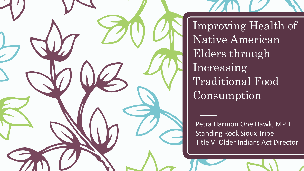

Improving Health of Native American Elders through Increasing Traditional Food Consumption

Petra Harmon One Hawk, MPH Standing Rock Sioux Tribe Title VI Older Indians Act Director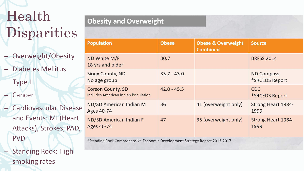# Health Disparities

- Overweight/Obesity
- Diabetes Mellitus Type II
- **Cancer**
- Cardiovascular Disease and Events: MI (Heart Attacks), Strokes, PAD, PVD
	- Standing Rock: High smoking rates

| besity and Overweight |  |
|-----------------------|--|
|-----------------------|--|

| <b>Population</b>                                                           | <b>Obese</b>  | <b>Obese &amp; Overweight</b><br><b>Combined</b> | <b>Source</b>                              |  |
|-----------------------------------------------------------------------------|---------------|--------------------------------------------------|--------------------------------------------|--|
| ND White M/F<br>18 yrs and older                                            | 30.7          |                                                  | <b>BRFSS 2014</b>                          |  |
| <b>Sioux County, ND</b><br>No age group                                     | $33.7 - 43.0$ |                                                  | <b>ND Compass</b><br>*SRCEDS Report        |  |
| <b>Corson County, SD</b><br><b>Includes American Indian Population</b>      | $42.0 - 45.5$ |                                                  | <b>CDC</b><br><i><b>*SRCEDS Report</b></i> |  |
| ND/SD American Indian M<br>Ages 40-74                                       | 36            | 41 (overweight only)                             | <b>Strong Heart 1984-</b><br>1999          |  |
| <b>ND/SD American Indian F</b><br>Ages 40-74                                | 47            | 35 (overweight only)                             | <b>Strong Heart 1984-</b><br>1999          |  |
| *Standing Rock Comprehensive Economic Development Strategy Report 2013-2017 |               |                                                  |                                            |  |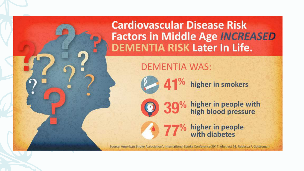**Cardiovascular Disease Risk Factors in Middle Age INCREASED DEMENTIA RISK Later In Life.** 

**DEMENTIA WAS:** 



1<sup>%</sup> higher in smokers

higher in people with<br>high blood pressure

higher in people<br>with diabetes

Source: American Stroke Association's International Stroke Conference 2017; Abstract 98, Rebecca F, Gottesman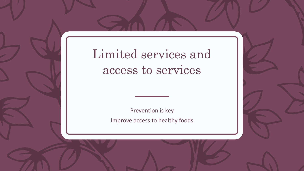Limited services and access to services

> Prevention is key Improve access to healthy foods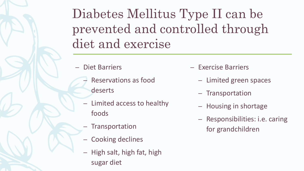Diabetes Mellitus Type II can be prevented and controlled through diet and exercise

– Diet Barriers

- Reservations as food deserts
- Limited access to healthy foods
	- **Transportation**
- Cooking declines
- High salt, high fat, high sugar diet
- Exercise Barriers
	- Limited green spaces
	- Transportation
	- Housing in shortage
	- Responsibilities: i.e. caring for grandchildren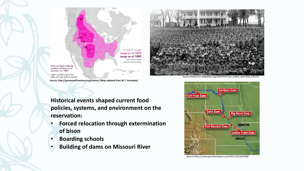



Source:https://en.wikipedia.org/wiki/American\_Indian\_boarding\_schools

Dark numbers indicate number of bison as of January 1st, 1889. Light numbers give the

date of local extermination.

**Source: http://greateryellowstone.org/history/ (Map adapted from W.T. Hornaday)**

**Historical events shaped current food policies, systems, and environment on the reservation:**

- **Forced relocation through extermination of bison**
- **Boarding schools**
- **Building of dams on Missouri River**



Source:https://www.greatbendpost.com/2011/10/18/4568/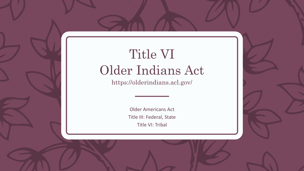# Title VI Older Indians Act

https://olderindians.acl.gov/

Older Americans Act Title III: Federal, State Title VI: Tribal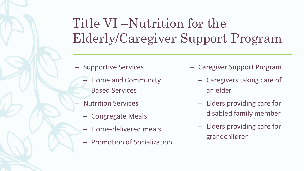# Title VI –Nutrition for the Elderly/Caregiver Support Program

- Supportive Services
	- Home and Community Based Services
- Nutrition Services
	- Congregate Meals
	- Home-delivered meals
	- Promotion of Socialization
- Caregiver Support Program
	- Caregivers taking care of an elder
	- Elders providing care for disabled family member
	- Elders providing care for grandchildren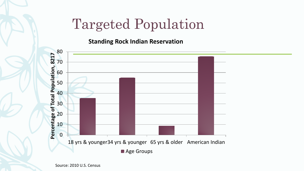### Targeted Population

**Standing Rock Indian Reservation**

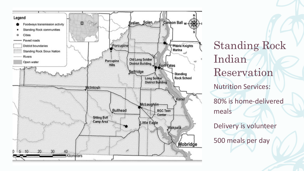

Standing Rock Indian Reservation Nutrition Services: 80% is home-delivered meals Delivery is volunteer 500 meals per day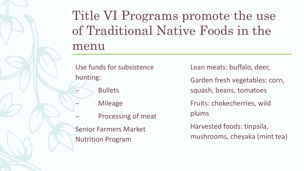# Title VI Programs promote the use of Traditional Native Foods in the menu

Use funds for subsistence hunting:

**Bullets** 

- **Mileage**
- Processing of meat

Senior Farmers Market Nutrition Program

Lean meats: buffalo, deer,

Garden fresh vegetables: corn,

squash, beans, tomatoes

Fruits: chokecherries, wild plums

Harvested foods: tinpsila, mushrooms, cheyaka (mint tea)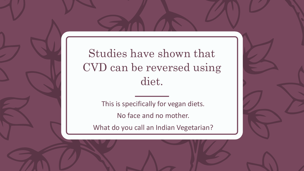#### Studies have shown that CVD can be reversed using diet.

This is specifically for vegan diets. No face and no mother.

What do you call an Indian Vegetarian?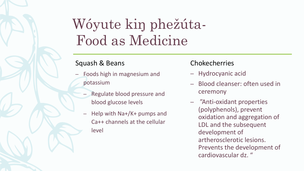# Wóyute kin phežúta-Food as Medicine

#### Squash & Beans

- Foods high in magnesium and potassium
	- Regulate blood pressure and blood glucose levels
	- Help with Na+/K+ pumps and  $\overline{\phantom{0}}$ Ca++ channels at the cellular level

#### **Chokecherries**

- Hydrocyanic acid
- Blood cleanser: often used in ceremony
- "Anti-oxidant properties (polyphenols), prevent oxidation and aggregation of LDL and the subsequent development of artherosclerotic lesions. Prevents the development of cardiovascular dz. "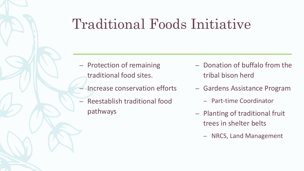# Traditional Foods Initiative

- Protection of remaining traditional food sites.
- Increase conservation efforts
- Reestablish traditional food pathways
- Donation of buffalo from the tribal bison herd
- Gardens Assistance Program
	- Part-time Coordinator
- Planting of traditional fruit trees in shelter belts
	- NRCS, Land Management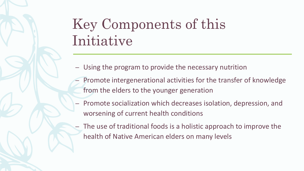# Key Components of this Initiative

- Using the program to provide the necessary nutrition
- Promote intergenerational activities for the transfer of knowledge from the elders to the younger generation
- Promote socialization which decreases isolation, depression, and worsening of current health conditions
- The use of traditional foods is a holistic approach to improve the health of Native American elders on many levels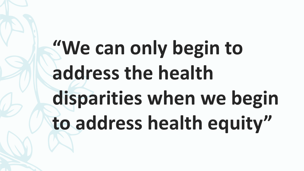# **"We can only begin to address the health disparities when we begin to address health equity"**